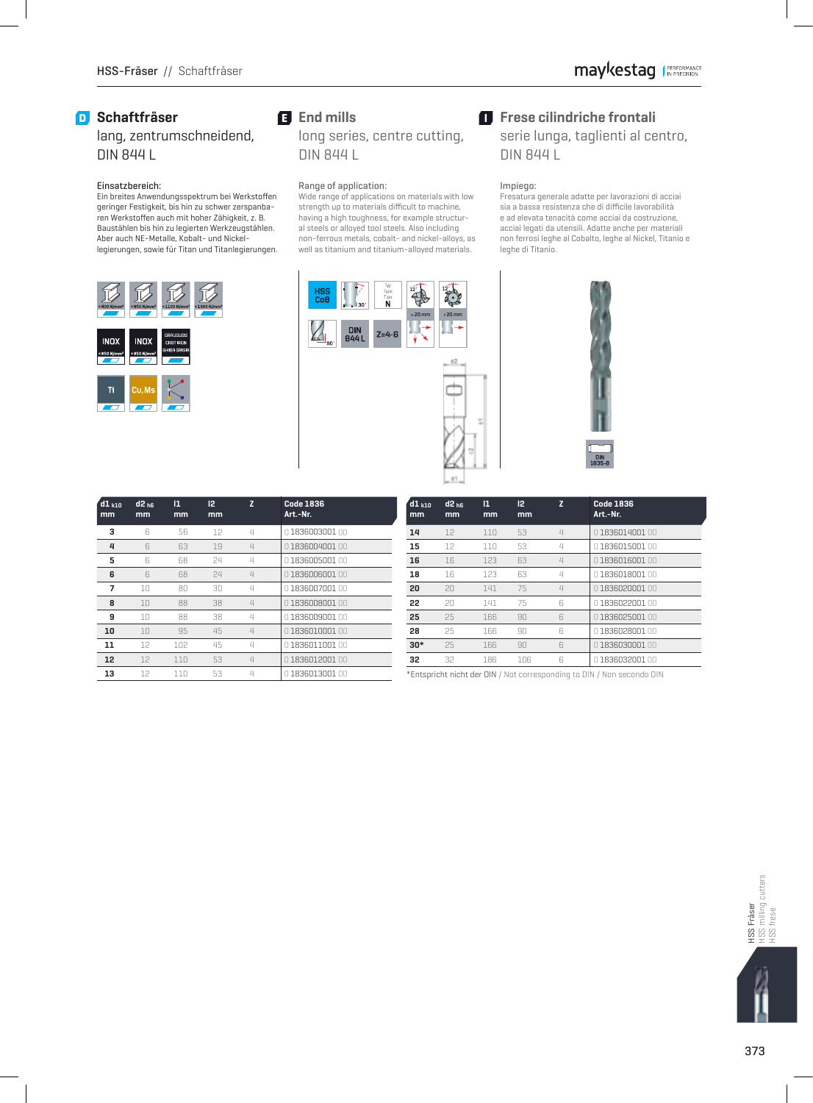### **D** Schaftfräser

### lang, zentrumschneidend, DIN 844 L

### Einsatzbereich:

Ein breites Anwendungsspektrum bei Werkstoffen geringer Festigkeit, bis hin zu schwer zerspanbaren Werkstoffen auch mit hoher Zähigkeit, z. B. Baustählen bis hin zu legierten Werkzeugstählen. Aber auch NE-Metalle, Kobalt- und Nickellegierungen, sowie für Titan und Titanlegierungen.



# **End mills**

long series, centre cutting, DIN 844 L

#### Range of application:

 Wide range of applications on materials with low strength up to materials difficult to machine, having a high toughness, for example structural steels or alloyed tool steels. Also including non-ferrous metals, cobalt- and nickel-alloys, as well as titanium and titanium-alloyed materials.



### $\blacksquare$  Frese cilindriche frontali

serie lunga, taglienti al centro, DIN 844 L

#### Impiego:

 Fresatura generale adatte per lavorazioni di acciai sia a bassa resistenza che di difficile lavorabilità e ad elevata tenacità come acciai da costruzione, acciai legati da utensili. Adatte anche per materiali non ferrosi leghe al Cobalto, leghe al Nickel, Titanio e leghe di Titanio.



| $d1_{k10}$<br>mm | $d2_{h6}$<br>mm | $\overline{1}$<br>mm | 2 <br>mm | Z                                         | <b>Code 1836</b><br>Art.-Nr. |  |  |
|------------------|-----------------|----------------------|----------|-------------------------------------------|------------------------------|--|--|
| 3                | 6               | 56                   | 12       | $\mathcal{L}$                             | 0183600300100                |  |  |
| 4                | 6               | 63                   | 19       | $\overline{\mathcal{L}}$<br>0183600400100 |                              |  |  |
| 5                | 6               | 68                   | 24       | 4                                         | 0183600500100                |  |  |
| 6                | 6               | 68                   | 24       | $\overline{\mathcal{L}}$                  | 0183600600100                |  |  |
| 7                | 10              | 80                   | 30       | $\mathcal{L}$                             | 0183600700100                |  |  |
| 8                | 10              | 88                   | 38       | $\overline{\mathcal{L}}$                  | 0183600800100                |  |  |
| 9                | 10              | 88                   | 38       | $\angle$                                  | 0183600900100                |  |  |
| 10               | 10              | 95                   | 45       | $\overline{\mathcal{L}}$                  | 0 1836010001 00              |  |  |
| 11               | 12              | 102                  | 45       | $\mathcal{L}% _{0}$                       | 0183601100100                |  |  |
| 12               | 12              | 110                  | 53       | $\overline{\mathcal{L}}$                  | 0183601200100                |  |  |
| 13               | 12              | 110                  | 53       | $\angle$                                  | 0183601300100                |  |  |

| $d1_{k10}$<br>mm | $d2_{hR}$<br>mm | $\mathbf{1}$<br>mm | 12<br>mm | z                        | <b>Code 1836</b><br>Art.-Nr. |  |  |  |
|------------------|-----------------|--------------------|----------|--------------------------|------------------------------|--|--|--|
| 14               | 12              | 110                | 53       | $\overline{\mathcal{L}}$ | 0183601400100                |  |  |  |
| 15               | 12              | 110                | 53       | 4                        | 0183601500100                |  |  |  |
| 16               | 16              | 123                | 63       | $\overline{4}$           | 0183601600100                |  |  |  |
| 18               | 16              | 123                | 63       | $\mathcal{L}% _{0}$      | 0183601800100                |  |  |  |
| 20               | 20              | 141                | 75       | $\overline{\mathcal{L}}$ | 0183602000100                |  |  |  |
| 22               | 20              | 141                | 75       | 6                        | 0183602200100                |  |  |  |
| 25               | 25              | 166                | 90       | 6                        | 0183602500100                |  |  |  |
| 28               | 25              | 166                | 90       | 6                        | 0183602800100                |  |  |  |
| $30*$            | 25              | 166                | 90       | 6                        | 0183603000100                |  |  |  |
| 32               | 32              | 186                | 106      | ĥ                        | 0183603200100                |  |  |  |

\*Entspricht nicht der DIN / Not corresponding to DIN / Non secondo DIN